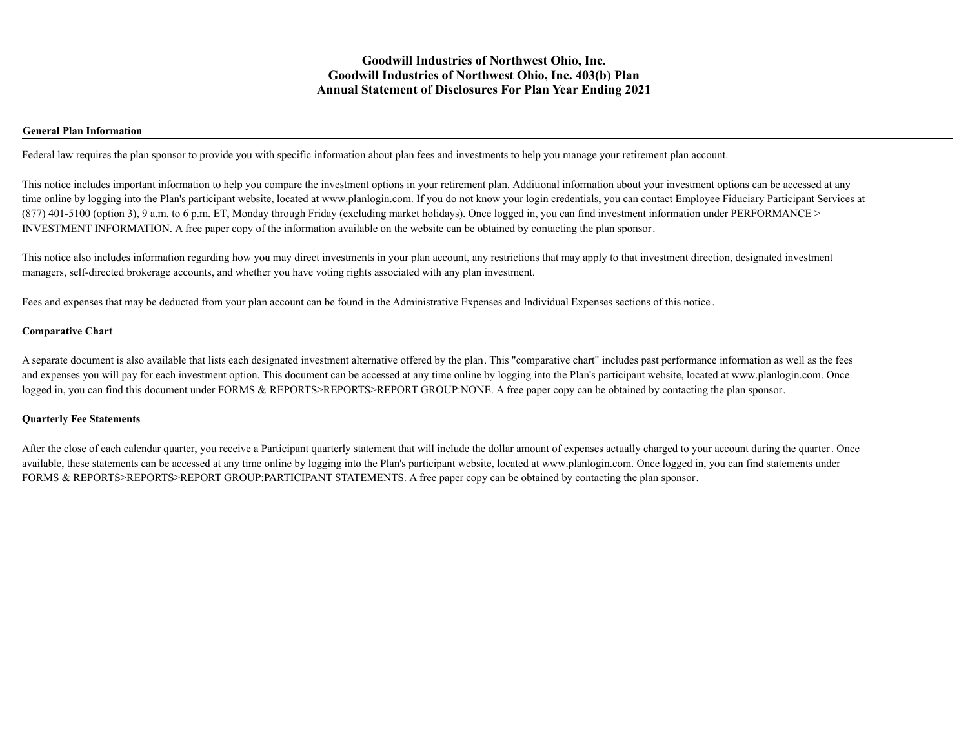### **General Plan Information**

Federal law requires the plan sponsor to provide you with specific information about plan fees and investments to help you manage your retirement plan account.

This notice includes important information to help you compare the investment options in your retirement plan. Additional information about your investment options can be accessed at any time online by logging into the Plan's participant website, located at www.planlogin.com. If you do not know your login credentials, you can contact Employee Fiduciary Participant Services at (877) 401-5100 (option 3), 9 a.m. to 6 p.m. ET, Monday through Friday (excluding market holidays). Once logged in, you can find investment information under PERFORMANCE > INVESTMENT INFORMATION. A free paper copy of the information available on the website can be obtained by contacting the plan sponsor.

This notice also includes information regarding how you may direct investments in your plan account, any restrictions that may apply to that investment direction, designated investment managers, self-directed brokerage accounts, and whether you have voting rights associated with any plan investment.

Fees and expenses that may be deducted from your plan account can be found in the Administrative Expenses and Individual Expenses sections of this notice .

#### **Comparative Chart**

A separate document is also available that lists each designated investment alternative offered by the plan. This "comparative chart" includes past performance information as well as the fees and expenses you will pay for each investment option. This document can be accessed at any time online by logging into the Plan's participant website, located at www.planlogin.com. Once logged in, you can find this document under FORMS & REPORTS>REPORTS>REPORT GROUP:NONE. A free paper copy can be obtained by contacting the plan sponsor.

#### **Quarterly Fee Statements**

After the close of each calendar quarter, you receive a Participant quarterly statement that will include the dollar amount of expenses actually charged to your account during the quarter. Once available, these statements can be accessed at any time online by logging into the Plan's participant website, located at www.planlogin.com. Once logged in, you can find statements under FORMS & REPORTS>REPORTS>REPORT GROUP:PARTICIPANT STATEMENTS. A free paper copy can be obtained by contacting the plan sponsor.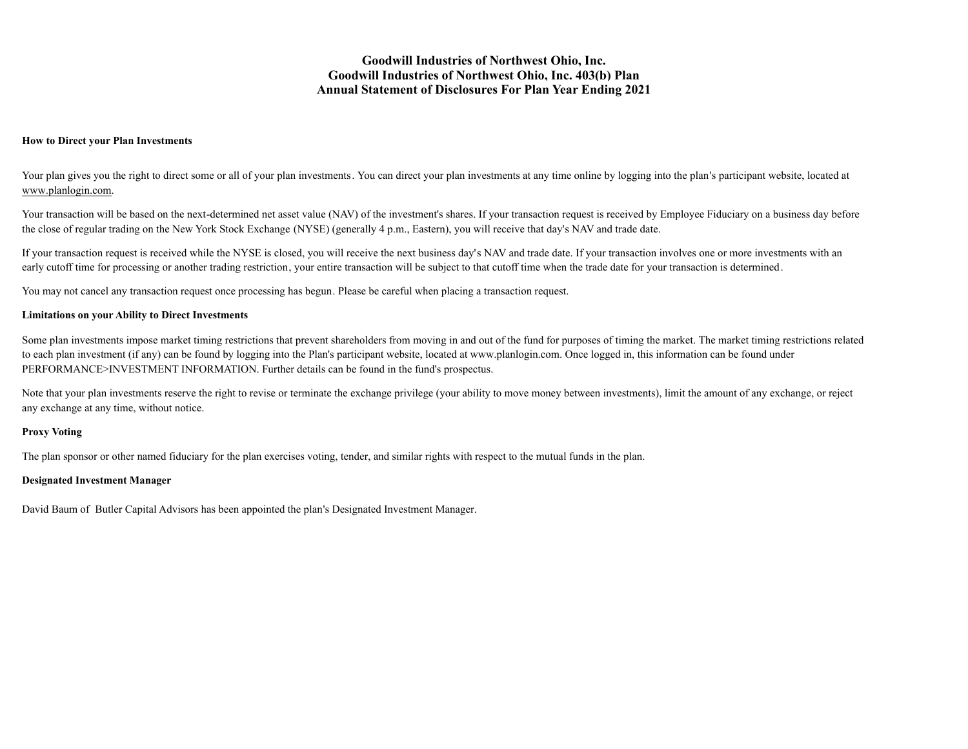#### **How to Direct your Plan Investments**

Your plan gives you the right to direct some or all of your plan investments. You can direct your plan investments at any time online by logging into the plan's participant website, located at [www.planlogin.com](http://www.planlogin.com).

Your transaction will be based on the next-determined net asset value (NAV) of the investment's shares. If your transaction request is received by Employee Fiduciary on a business day before the close of regular trading on the New York Stock Exchange (NYSE) (generally 4 p.m., Eastern), you will receive that day's NAV and trade date.

If your transaction request is received while the NYSE is closed, you will receive the next business day's NAV and trade date. If your transaction involves one or more investments with an early cutoff time for processing or another trading restriction, your entire transaction will be subject to that cutoff time when the trade date for your transaction is determined.

You may not cancel any transaction request once processing has begun. Please be careful when placing a transaction request.

### **Limitations on your Ability to Direct Investments**

Some plan investments impose market timing restrictions that prevent shareholders from moving in and out of the fund for purposes of timing the market. The market timing restrictions related to each plan investment (if any) can be found by logging into the Plan's participant website, located at www.planlogin.com. Once logged in, this information can be found under PERFORMANCE>INVESTMENT INFORMATION. Further details can be found in the fund's prospectus.

Note that your plan investments reserve the right to revise or terminate the exchange privilege (your ability to move money between investments), limit the amount of any exchange, or reject any exchange at any time, without notice.

### **Proxy Voting**

The plan sponsor or other named fiduciary for the plan exercises voting, tender, and similar rights with respect to the mutual funds in the plan.

### **Designated Investment Manager**

David Baum of Butler Capital Advisors has been appointed the plan's Designated Investment Manager.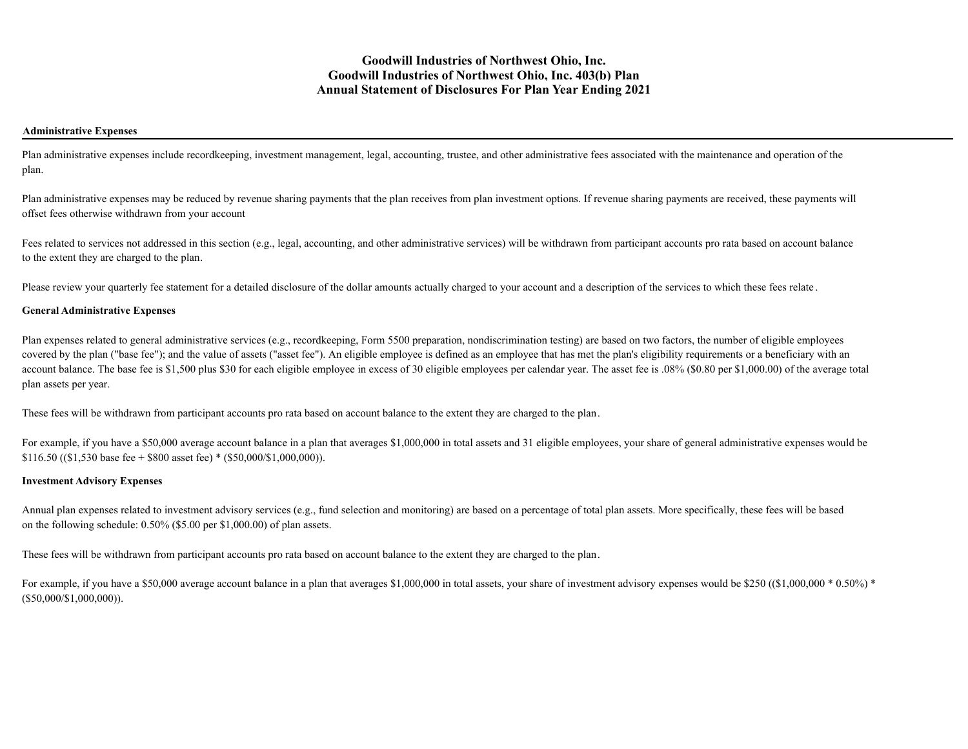### **Administrative Expenses**

Plan administrative expenses include recordkeeping, investment management, legal, accounting, trustee, and other administrative fees associated with the maintenance and operation of the plan.

Plan administrative expenses may be reduced by revenue sharing payments that the plan receives from plan investment options. If revenue sharing payments are received, these payments will offset fees otherwise withdrawn from your account

Fees related to services not addressed in this section (e.g., legal, accounting, and other administrative services) will be withdrawn from participant accounts pro rata based on account balance to the extent they are charged to the plan.

Please review your quarterly fee statement for a detailed disclosure of the dollar amounts actually charged to your account and a description of the services to which these fees relate.

### **General Administrative Expenses**

Plan expenses related to general administrative services (e.g., recordkeeping, Form 5500 preparation, nondiscrimination testing) are based on two factors, the number of eligible employees covered by the plan ("base fee"); and the value of assets ("asset fee"). An eligible employee is defined as an employee that has met the plan's eligibility requirements or a beneficiary with an account balance. The base fee is \$1,500 plus \$30 for each eligible employee in excess of 30 eligible employees per calendar year. The asset fee is .08% (\$0.80 per \$1,000.00) of the average total plan assets per year.

These fees will be withdrawn from participant accounts pro rata based on account balance to the extent they are charged to the plan.

For example, if you have a \$50,000 average account balance in a plan that averages \$1,000,000 in total assets and 31 eligible employees, your share of general administrative expenses would be \$116.50 ((\$1,530 base fee + \$800 asset fee) \* (\$50,000/\$1,000,000)).

### **Investment Advisory Expenses**

Annual plan expenses related to investment advisory services (e.g., fund selection and monitoring) are based on a percentage of total plan assets. More specifically, these fees will be based on the following schedule: 0.50% (\$5.00 per \$1,000.00) of plan assets.

These fees will be withdrawn from participant accounts pro rata based on account balance to the extent they are charged to the plan.

For example, if you have a \$50,000 average account balance in a plan that averages \$1,000,000 in total assets, your share of investment advisory expenses would be \$250 ((\$1,000,000  $*$  0.50%)  $*$ (\$50,000/\$1,000,000)).